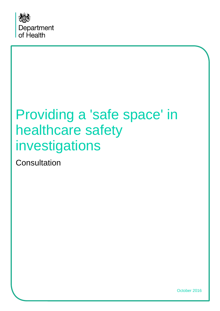

# Providing a 'safe space' in healthcare safety investigations

**Consultation** 

October 2016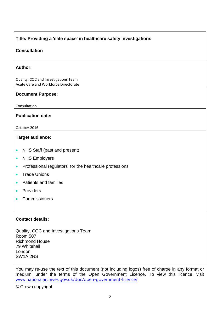#### **Title: Providing a 'safe space' in healthcare safety investigations**

#### **Consultation**

#### **Author:**

Quality, CQC and Investigations Team Acute Care and Workforce Directorate

#### **Document Purpose:**

Consultation

#### **Publication date:**

October 2016

#### **Target audience:**

- NHS Staff (past and present)
- NHS Employers
- Professional regulators for the healthcare professions
- Trade Unions
- Patients and families
- Providers
- Commissioners

#### **Contact details:**

Quality, CQC and Investigations Team Room 507 Richmond House 79 Whitehall London SW1A 2NS

You may re-use the text of this document (not including logos) free of charge in any format or medium, under the terms of the Open Government Licence. To view this licence, visit [www.nationalarchives.gov.uk/doc/open-government-licence/](http://www.nationalarchives.gov.uk/doc/open-government-licence/)

© Crown copyright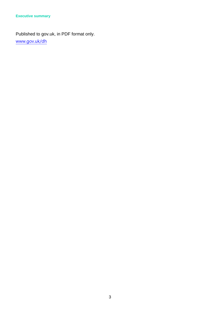Published to gov.uk, in PDF format only. [www.gov.uk/dh](http://www.gov.uk/dh)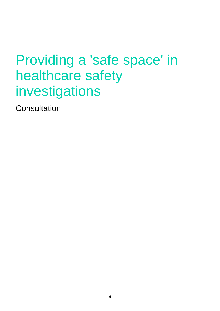# Providing a 'safe space' in healthcare safety investigations

**Consultation**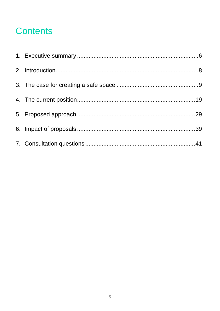# **Contents**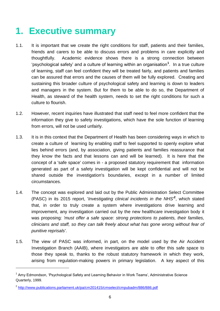# <span id="page-5-0"></span>**1. Executive summary**

- 1.1. It is important that we create the right conditions for staff, patients and their families, friends and carers to be able to discuss errors and problems in care explicitly and thoughtfully. Academic evidence shows there is a strong connection between 'psychological safety' and a culture of learning within an organisation**<sup>1</sup>** . In a true culture of learning, staff can feel confident they will be treated fairly, and patients and families can be assured that errors and the causes of them will be fully explored. Creating and sustaining this broader culture of psychological safety and learning is down to leaders and managers in the system. But for them to be able to do so, the Department of Health, as steward of the health system, needs to set the right conditions for such a culture to flourish.
- 1.2. However, recent inquiries have illustrated that staff need to feel more confident that the information they give to safety investigations, which have the sole function of learning from errors, will not be used unfairly.
- 1.3. It is in this context that the Department of Health has been considering ways in which to create a culture of learning by enabling staff to feel supported to openly explore what lies behind errors (and, by association, giving patients and families reassurance that they know the facts and that lessons can and will be learned). It is here that the concept of a 'safe space' comes in - a proposed statutory requirement that information generated as part of a safety investigation will be kept confidential and will not be shared outside the investigation's boundaries, except in a number of limited circumstances.
- 1.4. The concept was explored and laid out by the Public Administration Select Committee (PASC) in its 2015 report, '*Investigating clinical incidents in the NHS<sup>2</sup>*, which stated that, in order to truly create a system where investigations drive learning and improvement, any investigation carried out by the new healthcare investigation body it was proposing: *'must offer a safe space: strong protections to patients, their families, clinicians and staff, so they can talk freely about what has gone wrong without fear of punitive reprisals'*.
- 1.5. The view of PASC was informed, in part, on the model used by the Air Accident Investigation Branch (AAIB), where investigators are able to offer this safe space to those they speak to, thanks to the robust statutory framework in which they work, arising from regulation-making powers in primary legislation. A key aspect of this

 $\overline{a}$ 

<sup>&</sup>lt;sup>1</sup> Amy Edmondson, 'Psychological Safety and Learning Behavior in Work Teams', Administrative Science Quarterly, 1999.

<sup>&</sup>lt;sup>2</sup> <http://www.publications.parliament.uk/pa/cm201415/cmselect/cmpubadm/886/886.pdf>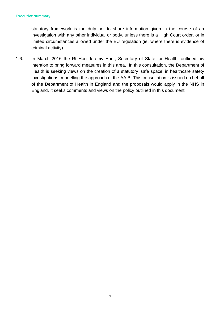statutory framework is the duty not to share information given in the course of an investigation with any other individual or body, unless there is a High Court order, or in limited circumstances allowed under the EU regulation (ie, where there is evidence of criminal activity).

1.6. In March 2016 the Rt Hon Jeremy Hunt, Secretary of State for Health, outlined his intention to bring forward measures in this area. In this consultation, the Department of Health is seeking views on the creation of a statutory 'safe space' in healthcare safety investigations, modelling the approach of the AAIB. This consultation is issued on behalf of the Department of Health in England and the proposals would apply in the NHS in England. It seeks comments and views on the policy outlined in this document.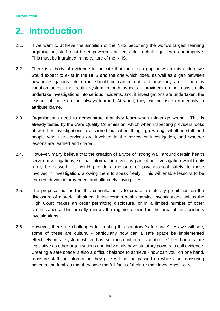# <span id="page-7-0"></span>**2. Introduction**

- 2.1. If we want to achieve the ambition of the NHS becoming the world's largest learning organisation, staff must be empowered and feel able to challenge, learn and improve. This must be ingrained in the culture of the NHS.
- 2.2. There is a body of evidence to indicate that there is a gap between this culture we would expect to exist in the NHS and the one which does, as well as a gap between how investigations into errors should be carried out and how they are. There is variation across the health system in both aspects - providers do not consistently undertake investigations into serious incidents, and, if investigations are undertaken, the lessons of these are not always learned. At worst, they can be used erroneously to attribute blame.
- 2.3. Organisations need to demonstrate that they learn when things go wrong. This is already tested by the Care Quality Commission, which when inspecting providers looks at whether investigations are carried out when things go wrong, whether staff and people who use services are involved in the review or investigation, and whether lessons are learned and shared.
- 2.4. However, many believe that the creation of a type of 'strong wall' around certain health service investigations, so that information given as part of an investigation would only rarely be passed on, would provide a measure of 'psychological safety' to those involved in investigation, allowing them to speak freely. This will enable lessons to be learned, driving improvement and ultimately saving lives.
- 2.5. The proposal outlined in this consultation is to create a statutory prohibition on the disclosure of material obtained during certain health service investigations unless the High Court makes an order permitting disclosure, or in a limited number of other circumstances. This broadly mirrors the regime followed in the area of air accidents investigations.
- 2.6. However, there are challenges to creating this statutory 'safe space'. As we will see, some of these are cultural - particularly how can a safe space be implemented effectively in a system which has so much inherent variation. Other barriers are legislative as other organisations and individuals have statutory powers to call evidence. Creating a safe space is also a difficult balance to achieve - how can you, on one hand, reassure staff the information they give will not be passed on while also reassuring patients and families that they have the full facts of their, or their loved ones', care.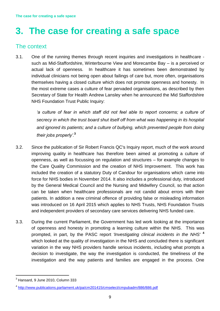# <span id="page-8-0"></span>**3. The case for creating a safe space**

# The context

3.1. One of the running themes through recent inquiries and investigations in healthcare such as Mid-Staffordshire, Winterbourne View and Morecambe Bay – is a perceived or actual lack of openness. In healthcare it has sometimes been demonstrated by individual clinicians not being open about failings of care but, more often, organisations themselves having a closed culture which does not promote openness and honesty. In the most extreme cases a culture of fear pervaded organisations, as described by then Secretary of State for Health Andrew Lansley when he announced the Mid Staffordshire NHS Foundation Trust Public Inquiry:

> *'a culture of fear in which staff did not feel able to report concerns; a culture of secrecy in which the trust board shut itself off from what was happening in its hospital and ignored its patients; and a culture of bullying, which prevented people from doing their jobs properly'.***<sup>3</sup>**

- 3.2. Since the publication of Sir Robert Francis QC's Inquiry report, much of the work around improving quality in healthcare has therefore been aimed at promoting a culture of openness, as well as focussing on regulation and structures – for example changes to the Care Quality Commission and the creation of NHS Improvement. This work has included the creation of a statutory Duty of Candour for organisations which came into force for NHS bodies in November 2014. It also includes a professional duty, introduced by the General Medical Council and the Nursing and Midwifery Council, so that action can be taken when healthcare professionals are not candid about errors with their patients. In addition a new criminal offence of providing false or misleading information was introduced on 16 April 2015 which applies to NHS Trusts, NHS Foundation Trusts and independent providers of secondary care services delivering NHS funded care.
- 3.3. During the current Parliament, the Government has led work looking at the importance of openness and honesty in promoting a learning culture within the NHS. This was prompted, in part, by the PASC report *'Investigating clinical incidents in the NHS'* **<sup>4</sup>** which looked at the quality of investigation in the NHS and concluded there is significant variation in the way NHS providers handle serious incidents, including what prompts a decision to investigate, the way the investigation is conducted, the timeliness of the investigation and the way patients and families are engaged in the process. One

 $\overline{a}$ 

 $3$  Hansard, 9 June 2010, Column 333

<sup>&</sup>lt;sup>4</sup> <http://www.publications.parliament.uk/pa/cm201415/cmselect/cmpubadm/886/886.pdf>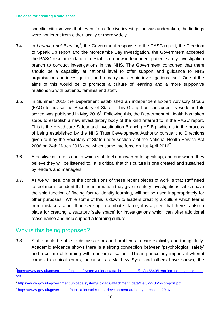specific criticism was that, even if an effective investigation was undertaken, the findings were not learnt from either locally or more widely.

- 3.4. In *Learning not Blaming***<sup>5</sup>** , the Government response to the PASC report, the Freedom to Speak Up report and the Morecambe Bay Investigation, the Government accepted the PASC recommendation to establish a new independent patient safety investigation branch to conduct investigations in the NHS. The Government concurred that there should be a capability at national level to offer support and guidance to NHS organisations on investigation, and to carry out certain investigations itself. One of the aims of this would be to promote a culture of learning and a more supportive relationship with patients, families and staff.
- 3.5. In Summer 2015 the Department established an independent Expert Advisory Group (EAG) to advise the Secretary of State. This Group has concluded its work and its advice was published in May 2016**<sup>6</sup>** . Following this, the Department of Health has taken steps to establish a new investigatory body of the kind referred to in the PASC report. This is the Healthcare Safety and Investigation Branch ('HSIB'), which is in the process of being established by the NHS Trust Development Authority pursuant to Directions given to it by the Secretary of State under section 7 of the National Health Service Act 2006 on 24th March 2016 and which came into force on 1st April 2016**<sup>7</sup>** .
- 3.6. A positive culture is one in which staff feel empowered to speak up, and one where they believe they will be listened to. It is critical that this culture is one created and sustained by leaders and managers.
- 3.7. As we will see, one of the conclusions of these recent pieces of work is that staff need to feel more confident that the information they give to safety investigations, which have the sole function of finding fact to identify learning, will not be used inappropriately for other purposes. While some of this is down to leaders creating a culture which learns from mistakes rather than seeking to attribute blame, it is argued that there is also a place for creating a statutory 'safe space' for investigations which can offer additional reassurance and help support a learning culture.

# Why is this being proposed?

 $\overline{a}$ 

3.8. Staff should be able to discuss errors and problems in care explicitly and thoughtfully. Academic evidence shows there is a strong connection between 'psychological safety' and a culture of learning within an organisation. This is particularly important when it comes to clinical errors, because, as Matthew Syed and others have shown, the

<sup>&</sup>lt;sup>5</sup>[https://www.gov.uk/government/uploads/system/uploads/attachment\\_data/file/445640/Learning\\_not\\_blaming\\_acc.](https://www.gov.uk/government/uploads/system/uploads/attachment_data/file/445640/Learning_not_blaming_acc.pdf) [pdf](https://www.gov.uk/government/uploads/system/uploads/attachment_data/file/445640/Learning_not_blaming_acc.pdf)

<sup>&</sup>lt;sup>6</sup> [https://www.gov.uk/government/uploads/system/uploads/attachment\\_data/file/522785/hsibreport.pdf](https://www.gov.uk/government/uploads/system/uploads/attachment_data/file/522785/hsibreport.pdf)

<sup>&</sup>lt;sup>7</sup> <https://www.gov.uk/government/publications/nhs-trust-development-authority-directions-2016>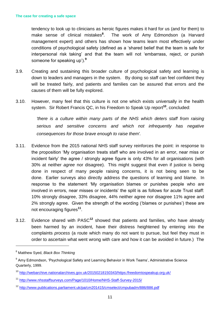tendency to look up to clinicians as heroic figures makes it hard for us (and for them) to make sense of clinical mistakes**<sup>8</sup>** . The work of Amy Edmondson (a Harvard management expert) and others has shown how teams learn most effectively under conditions of psychological safety (defined as a 'shared belief that the team is safe for interpersonal risk taking' and that the team will not 'embarrass, reject, or punish someone for speaking up').**<sup>9</sup>**

- 3.9. Creating and sustaining this broader culture of psychological safety and learning is down to leaders and managers in the system. By doing so staff can feel confident they will be treated fairly, and patients and families can be assured that errors and the causes of them will be fully explored.
- 3.10. However, many feel that this culture is not one which exists universally in the health system. Sir Robert Francis QC, in his Freedom to Speak Up report**<sup>10</sup>**, concluded:

*'there is a culture within many parts of the NHS which deters staff from raising serious and sensitive concerns and which not infrequently has negative consequences for those brave enough to raise them'.*

- 3.11. Evidence from the 2015 national NHS staff survey reinforces the point: in response to the proposition 'My organisation treats staff who are involved in an error, near miss or incident fairly' the agree / strongly agree figure is only 43% for all organisations (with 30% at neither *agree* nor disagree). This might suggest that even if justice is being done in respect of many people raising concerns, it is not being seen to be done. Earlier surveys also directly address the questions of learning and blame. In response to the statement 'My organisation blames or punishes people who are involved in errors, near misses or incidents' the split is as follows for acute Trust staff: 10% strongly disagree, 33% disagree, 44% neither agree nor disagree 11% agree and 2% strongly agree. Given the strength of the wording ('blames or punishes') these are not encouraging figures**<sup>11</sup>** .
- 3.12. Evidence shared with PASC**<sup>12</sup>** showed that patients and families, who have already been harmed by an incident, have their distress heightened by entering into the complaints *process* (a route which many do not want to pursue, but feel they must in order to ascertain what went wrong with care and how it can be avoided in future.) The

 $\overline{a}$ 

<sup>8</sup> Matthew Syed, *Black Box Thinking*

<sup>&</sup>lt;sup>9</sup> Amy Edmondson, 'Psychological Safety and Learning Behavior in Work Teams', Administrative Science Quarterly, 1999.

<sup>10</sup> <http://webarchive.nationalarchives.gov.uk/20150218150343/https:/freedomtospeakup.org.uk/>

<sup>11</sup> <http://www.nhsstaffsurveys.com/Page/1010/Home/NHS-Staff-Survey-2015/>

<sup>12</sup> <http://www.publications.parliament.uk/pa/cm201415/cmselect/cmpubadm/886/886.pdf>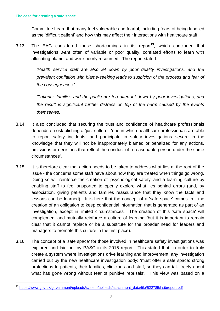$\overline{a}$ 

Committee heard that many feel vulnerable and fearful, including fears of being labelled as the 'difficult patient' and how this may affect their interactions with healthcare staff.

3.13. The EAG considered these shortcomings in its report**<sup>13</sup>**, which concluded that investigations *were* often of variable or poor quality, conflated efforts to learn with allocating blame, and were poorly resourced. The report stated:

> *'Health service staff are also let down by poor quality investigations, and the prevalent conflation with blame-seeking leads to suspicion of the process and fear of the consequences.'*

> *'Patients, families and the public are too often let down by poor investigations, and the result is significant further distress on top of the harm caused by the events themselves.'*

- 3.14. It also concluded that securing the trust and confidence of healthcare professionals depends on establishing a 'just culture', 'one in which healthcare professionals are able to report safety incidents, and participate in safety investigations *secure* in the knowledge that they will not be inappropriately blamed or penalized for any actions, omissions or decisions that reflect the conduct of a reasonable person under the same circumstances'.
- 3.15. It is therefore clear that action needs to be taken to address what lies at the root of the issue - the concerns some staff have about how they are treated when things go wrong. Doing so will reinforce the creation of 'psychological safety' and a learning culture by enabling staff to feel supported to openly explore what lies behind errors (and, by association, giving patients and families reassurance that they know the facts and lessons can be learned). It is here that the concept of a 'safe space' comes in - the creation of an obligation to keep confidential information that is generated as part of an investigation, except in limited circumstances. The creation of this 'safe space' will complement and mutually reinforce a culture of learning (but it is important to remain clear that it cannot replace or be a substitute for the broader need for leaders and managers to promote this culture in the first place).
- 3.16. The concept of a 'safe space' for those involved in healthcare safety investigations was explored and laid out by PASC in its 2015 report. This stated that, in order to truly create a system where investigations drive learning and improvement, any investigation carried out by the new healthcare investigation body: 'must offer a safe space: strong protections to patients, their families, clinicians and staff, so they can talk freely about what has gone wrong without fear of punitive reprisals'. This view was based on a

<sup>13</sup> [https://www.gov.uk/government/uploads/system/uploads/attachment\\_data/file/522785/hsibreport.pdf](https://www.gov.uk/government/uploads/system/uploads/attachment_data/file/522785/hsibreport.pdf)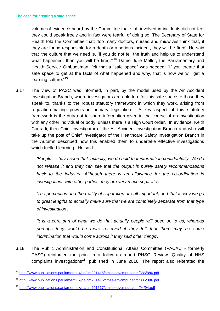volume of evidence heard by the Committee that staff involved in incidents did not feel they could speak freely and in fact were fearful of doing so. The Secretary of State for Health told the Committee that: 'too many doctors, nurses and midwives think that, if they are found responsible for a death or a serious incident, they will be fired'. He said that 'the culture that we need is, 'If you do not tell the truth and help us to understand what happened, then you will be fired."<sup>14</sup> Dame Julie Mellor, the Parliamentary and Health Service Ombudsman, felt that a "safe space" was needed: "If you create that safe space to get at the facts of what happened and why, that is how we will get a learning culture." **15**

3.17. The view of PASC was informed, in part, by the model used by the Air Accident Investigation Branch, where investigators are able to offer this safe space to those they speak to, thanks to the robust statutory framework in which they work, arising from regulation-making powers in primary legislation. A key aspect of this statutory framework is the duty not to share information given in the course of an investigation with any other individual or body, unless there is a High Court order. In evidence, Keith Conradi, then Chief Investigator of the Air Accident Investigation Branch and who will take up the post of Chief Investigator of the Healthcare Safety Investigation Branch in the Autumn described how this enabled them to undertake effective investigations which fuelled learning. He said:

> *'People … have seen that, actually, we do hold that information confidentially. We do not release it and they can see that the output is purely safety recommendations*  back to the industry. Although there is an allowance for the co-ordination in *investigations with other parties, they are very much separate'.*

> *'The perception and the reality of separation are all-important, and that is why we go to great lengths to actually make sure that we are completely separate from that type of investigation'.*

> *'It is a core part of what we do that actually people will open up to us, whereas perhaps they would be more reserved if they felt that there may be some incrimination that would come across if they said other things'.*

3.18. The Public Administration and Constitutional Affairs Committee (PACAC - formerly PASC) reinforced the point in a follow-up report PHSO Review: Quality of NHS complaints investigations**<sup>16</sup>**, published in June 2016. The report also reiterated the

 $\overline{a}$ 

<sup>14</sup> <http://www.publications.parliament.uk/pa/cm201415/cmselect/cmpubadm/886/886.pdf>

<sup>15</sup> <http://www.publications.parliament.uk/pa/cm201415/cmselect/cmpubadm/886/886.pdf>

<sup>16</sup> <http://www.publications.parliament.uk/pa/cm201617/cmselect/cmpubadm/94/94.pdf>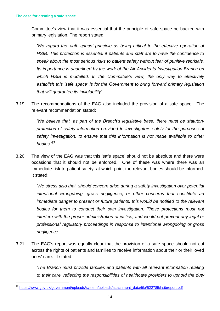$\overline{a}$ 

Committee's view that it was essential that the principle of safe space be backed with primary legislation. The report stated:

*'We regard the 'safe space' principle as being critical to the effective operation of HSIB. This protection is essential if patients and staff are to have the confidence to speak about the most serious risks to patient safety without fear of punitive reprisals. Its importance is underlined by the work of the Air Accidents Investigation Branch on which HSIB is modelled. In the Committee's view, the only way to effectively establish this 'safe space' is for the Government to bring forward primary legislation that will guarantee its inviolability'.* 

3.19. The recommendations of the EAG also included the provision of a safe space. The relevant recommendation stated:

> *'We believe that, as part of the Branch's legislative base, there must be statutory protection of safety information provided to investigators solely for the purposes of safety investigation, to ensure that this information is not made available to other bodies.'* **17**

3.20. The view of the EAG was that this 'safe space' should not be absolute and there were occasions that it should not be enforced. One of these was where there was an immediate risk to patient safety, at which point the relevant bodies should be informed. It stated:

> *'We stress also that, should concern arise during a safety investigation over potential intentional wrongdoing, gross negligence, or other concerns that constitute an immediate danger to present or future patients, this would be notified to the relevant*  bodies for them to conduct their own investigation. These protections must not *interfere with the proper administration of justice, and would not prevent any legal or professional regulatory proceedings in response to intentional wrongdoing or gross negligence.*

3.21. The EAG's report was equally clear that the provision of a safe space should not cut across the rights of patients and families to receive information about their or their loved ones' care. It stated:

> *'The Branch must provide families and patients with all relevant information relating to their care, reflecting the responsibilities of healthcare providers to uphold the duty*

<sup>17</sup> [https://www.gov.uk/government/uploads/system/uploads/attachment\\_data/file/522785/hsibreport.pdf](https://www.gov.uk/government/uploads/system/uploads/attachment_data/file/522785/hsibreport.pdf)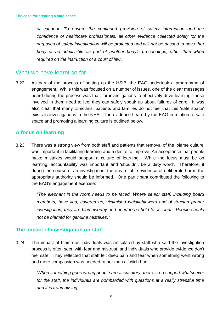*of candour. To ensure the continued provision of safety information and the confidence of healthcare professionals, all other evidence collected solely for the purposes of safety investigation will be protected and will not be passed to any other body or be admissible as part of another body's proceedings, other than when required on the instruction of a court of law'.* 

#### What we have learnt so far

3.22. As part of the process of setting up the HSIB, the EAG undertook a programme of engagement. While this was focused on a number of issues, one of the clear messages heard during the process was that, for investigations to effectively drive learning, those involved in them need to feel they can safely speak up about failures of care. It was also clear that many clinicians, patients and families do not feel that this 'safe space' exists in investigations in the NHS. The evidence heard by the EAG in relation to safe space and promoting a learning culture is outlined below.

#### **A focus on learning**

3.23. There was a strong view from both staff and patients that removal of the 'blame culture' was important in facilitating learning and a desire to improve. An acceptance that people make mistakes would support a culture of learning. While the focus must be on learning, accountability was important and 'shouldn't be a dirty word'. Therefore, if during the course of an investigation, there is reliable evidence of deliberate harm, the appropriate authority should be informed. One participant contributed the following to the EAG's engagement exercise:

> *"The elephant in the room needs to be faced. Where senior staff, including board members, have lied, covered up, victimised whistleblowers and obstructed proper investigation, they are blameworthy and need to be held to account. People should not be blamed for genuine mistakes."*

#### **The impact of investigation on staff**

3.24. The impact of blame on individuals was articulated by staff who said the investigation process is often seen with fear and mistrust, and individuals who provide evidence don't feel safe. They reflected that staff felt deep pain and fear when something went wrong and more compassion was needed rather than a 'witch hunt'.

> *'When something goes wrong people are accusatory, there is no support whatsoever for the staff, the individuals are bombarded with questions at a really stressful time and it is traumatising'.*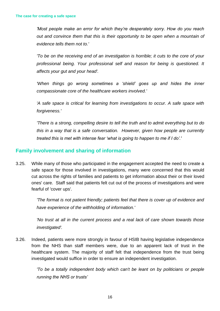*'Most people make an error for which they're desperately sorry. How do you reach out and convince them that this is their opportunity to be open when a mountain of evidence tells them not to.'*

*'To be on the receiving end of an investigation is horrible; it cuts to the core of your professional being. Your professional self and reason for being is questioned. It affects your gut and your head'.*

*'When things go wrong sometimes a 'shield' goes up and hides the inner compassionate core of the healthcare workers involved.'*

*'A safe space is critical for learning from investigations to occur. A safe space with forgiveness.'*

*'There is a strong, compelling desire to tell the truth and to admit everything but to do this in a way that is a safe conversation. However, given how people are currently treated this is met with intense fear 'what is going to happen to me if I do'.'*

### **Family involvement and sharing of information**

3.25. While many of those who participated in the engagement accepted the need to create a safe space for those involved in investigations, many were concerned that this would cut across the rights of families and patients to get information about their or their loved ones' care. Staff said that patients felt cut out of the process of investigations and were fearful of 'cover ups'.

> *'The format is not patient friendly; patients feel that there is cover up of evidence and have experience of the withholding of information.'*

> *'No trust at all in the current process and a real lack of care shown towards those investigated'.*

3.26. Indeed, patients were more strongly in favour of HSIB having legislative independence from the NHS than staff members were, due to an apparent lack of trust in the healthcare system. The majority of staff felt that independence from the trust being investigated would suffice in order to ensure an independent investigation.

> *'To be a totally independent body which can't be leant on by politicians or people running the NHS or trusts'*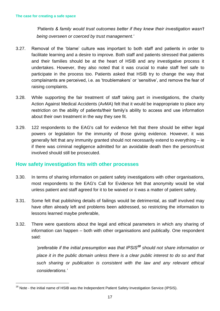*'Patients & family would trust outcomes better if they knew their investigation wasn't being overseen or coerced by trust management.'*

- 3.27. Removal of the 'blame' culture was important to both staff and patients in order to facilitate learning and a desire to improve. Both staff and patients stressed that patients and their families should be at the heart of HSIB and any investigative process it undertakes. However, they also noted that it was crucial to make staff feel safe to participate in the process too. Patients asked that HSIB try to change the way that complainants are perceived, i.e. as 'troublemakers' or 'sensitive', and remove the fear of raising complaints.
- 3.28. While supporting the fair treatment of staff taking part in investigations, the charity Action Against Medical Accidents (AvMA) felt that it would be inappropriate to place any restriction on the ability of patients/their family's ability to access and use information about their own treatment in the way they see fit.
- 3.29. 122 respondents to the EAG's call for evidence felt that there should be either legal powers or legislation for the immunity of those giving evidence. However, it was generally felt that any immunity granted should not necessarily extend to everything – ie if there was criminal negligence admitted for an avoidable death then the person/trust involved should still be prosecuted.

#### **How safety investigation fits with other processes**

- 3.30. In terms of sharing information on patient safety investigations with other organisations, most respondents to the EAG's Call for Evidence felt that anonymity would be vital unless patient and staff agreed for it to be waived or it was a matter of patient safety.
- 3.31. Some felt that publishing details of failings would be detrimental, as staff involved may have often already left and problems been addressed, so restricting the information to lessons learned maybe preferable,
- 3.32. There were questions about the legal and ethical parameters in which any sharing of information can happen – both with other organisations and publically. One respondent said:

*'preferable if the initial presumption was that IPSIS<sup>18</sup> should not share information or place it in the public domain unless there is a clear public interest to do so and that such sharing or publication is consistent with the law and any relevant ethical considerations.'*

 $\overline{a}$ 

<sup>&</sup>lt;sup>18</sup> Note - the initial name of HSIB was the Independent Patient Safety Investigation Service (IPSIS).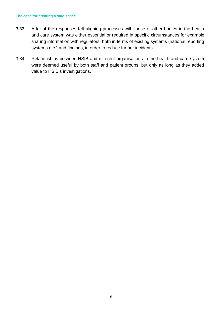#### **The case for creating a safe space**

- 3.33. A lot of the responses felt aligning processes with those of other bodies in the health and care system was either essential or required in specific circumstances for example sharing information with regulators, both in terms of existing systems (national reporting systems etc.) and findings, in order to reduce further incidents.
- 3.34. Relationships between HSIB and different organisations in the health and care system were deemed useful by both staff and patient groups, but only as long as they added value to HSIB's investigations.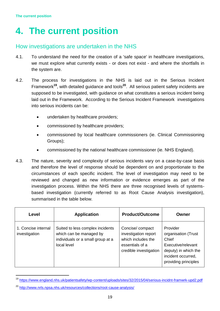# <span id="page-18-0"></span>**4. The current position**

# How investigations are undertaken in the NHS

- 4.1. To understand the need for the creation of a 'safe space' in healthcare investigations, we must explore what currently exists - or does not exist - and where the shortfalls in the system are.
- 4.2. The process for investigations in the NHS is laid out in the Serious Incident Framework**<sup>19</sup>**, with detailed guidance and tools**<sup>20</sup>**. All serious patient safety incidents are supposed to be investigated, with guidance on what constitutes a serious incident being laid out in the Framework. According to the Serious Incident Framework investigations into serious incidents can be:
	- undertaken by healthcare providers;
	- commissioned by healthcare providers;
	- commissioned by local healthcare commissioners (ie. Clinical Commissioning Groups);
	- commissioned by the national healthcare commissioner (ie. NHS England).
- 4.3. The nature, severity and complexity of serious incidents vary on a case-by-case basis and therefore the level of response should be dependent on and proportionate to the circumstances of each specific incident. The level of investigation may need to be reviewed and changed as new information or evidence emerges as part of the investigation process. Within the NHS there are three recognised levels of systemsbased investigation (currently referred to as Root Cause Analysis investigation), summarised in the table below.

| Level                                | <b>Application</b>                                                                                              | <b>Product/Outcome</b>                                                                                     | Owner                                                                                                                                |
|--------------------------------------|-----------------------------------------------------------------------------------------------------------------|------------------------------------------------------------------------------------------------------------|--------------------------------------------------------------------------------------------------------------------------------------|
| 1. Concise internal<br>investigation | Suited to less complex incidents<br>which can be managed by<br>individuals or a small group at a<br>local level | Concise/compact<br>investigation report<br>which includes the<br>essentials of a<br>credible investigation | Provider<br>organisation (Trust<br>Chief<br>Executive/relevant<br>deputy) in which the<br>incident occurred,<br>providing principles |

<sup>19</sup> <https://www.england.nhs.uk/patientsafety/wp-content/uploads/sites/32/2015/04/serious-incidnt-framwrk-upd2.pdf>

 $\overline{a}$ 

<sup>&</sup>lt;sup>20</sup> <http://www.nrls.npsa.nhs.uk/resources/collections/root-cause-analysis/>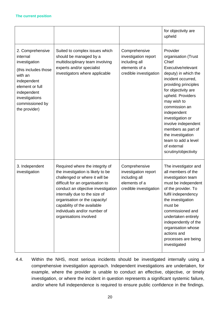|                                                                                                                                                                                         |                                                                                                                                                                                                                                                                                                                                             |                                                                                                   | for objectivity are<br>upheld                                                                                                                                                                                                                                                                                                                                                       |
|-----------------------------------------------------------------------------------------------------------------------------------------------------------------------------------------|---------------------------------------------------------------------------------------------------------------------------------------------------------------------------------------------------------------------------------------------------------------------------------------------------------------------------------------------|---------------------------------------------------------------------------------------------------|-------------------------------------------------------------------------------------------------------------------------------------------------------------------------------------------------------------------------------------------------------------------------------------------------------------------------------------------------------------------------------------|
| 2. Comprehensive<br>internal<br>investigation<br>(this includes those<br>with an<br>independent<br>element or full<br>independent<br>investigations<br>commissioned by<br>the provider) | Suited to complex issues which<br>should be managed by a<br>multidisciplinary team involving<br>experts and/or specialist<br>investigators where applicable                                                                                                                                                                                 | Comprehensive<br>investigation report<br>including all<br>elements of a<br>credible investigation | Provider<br>organisation (Trust<br>Chief<br>Executive/relevant<br>deputy) in which the<br>incident occurred,<br>providing principles<br>for objectivity are<br>upheld. Providers<br>may wish to<br>commission an<br>independent<br>investigation or<br>involve independent<br>members as part of<br>the investigation<br>team to add a level<br>of external<br>scrutiny/objectivity |
| 3. Independent<br>investigation                                                                                                                                                         | Required where the integrity of<br>the investigation is likely to be<br>challenged or where it will be<br>difficult for an organisation to<br>conduct an objective investigation<br>internally due to the size of<br>organisation or the capacity/<br>capability of the available<br>individuals and/or number of<br>organisations involved | Comprehensive<br>investigation report<br>including all<br>elements of a<br>credible investigation | The investigator and<br>all members of the<br>investigation team<br>must be independent<br>of the provider. To<br>fulfil independency<br>the investigation<br>must be<br>commissioned and<br>undertaken entirely<br>independently of the<br>organisation whose<br>actions and<br>processes are being<br>investigated                                                                |

4.4. Within the NHS, most serious incidents should be investigated internally using a comprehensive investigation approach. Independent investigations are undertaken, for example, where the provider is unable to conduct an effective, objective, or timely investigation, or where the incident in question represents a significant systemic failure, and/or where full independence is required to ensure public confidence in the findings.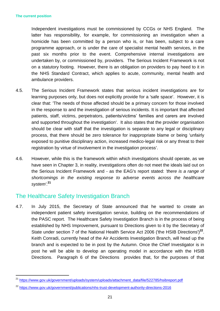$\overline{a}$ 

Independent investigations must be commissioned by CCGs or NHS England. The latter has responsibility, for example, for commissioning an investigation when a homicide has been committed by a person who is, or has been, subject to a care programme approach, or is under the care of specialist mental health services, in the past six months prior to the event. Comprehensive internal investigations are undertaken by, or commissioned by, providers. The Serious Incident Framework is not on a statutory footing. However, there is an obligation on providers to pay heed to it in the NHS Standard Contract, which applies to acute, community, mental health and ambulance providers.

- 4.5. The Serious Incident Framework states that serious incident investigations are for learning purposes only, but does not explicitly provide for a 'safe space'. However, it is clear that: 'The needs of those affected should be a primary concern for those involved in the response to and the investigation of serious incidents. It is important that affected patients, staff, victims, perpetrators, patients/victims' families and carers are involved and supported throughout the investigation'. It also states that the provider organisation should be clear with staff that the investigation is separate to any legal or disciplinary process, that there should be zero tolerance for inappropriate blame or being 'unfairly exposed to punitive disciplinary action, increased medico-legal risk or any threat to their registration by virtue of involvement in the investigation process'.
- 4.6. However, while this is the framework within which investigations should operate, as we have seen in Chapter 3, in reality, investigations often do not meet the ideals laid out on the Serious Incident Framework and - as the EAG's report stated: *'there is a range of shortcomings in the existing response to adverse events across the healthcare system'*. **21**

# The Healthcare Safety Investigation Branch

4.7. In July 2015, the Secretary of State announced that he wanted to create an independent patient safety investigation service, building on the recommendations of the PASC report. The Healthcare Safety Investigation Branch is in the process of being established by NHS Improvement, pursuant to Directions given to it by the Secretary of State under section 7 of the National Health Service Act 2006 ('the HSIB Directions')<sup>22</sup>. Keith Conradi, currently head of the Air Accidents Investigation Branch, will head up the branch and is expected to be in post by the Autumn. Once the Chief Investigator is in post he will be able to develop an operating model in accordance with the HSIB Directions. Paragraph 6 of the Directions provides that, for the purposes of that

<sup>&</sup>lt;sup>21</sup> [https://www.gov.uk/government/uploads/system/uploads/attachment\\_data/file/522785/hsibreport.pdf](https://www.gov.uk/government/uploads/system/uploads/attachment_data/file/522785/hsibreport.pdf)

<sup>22</sup> <https://www.gov.uk/government/publications/nhs-trust-development-authority-directions-2016>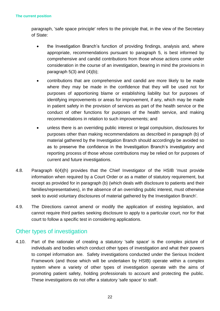#### **The current position**

paragraph, 'safe space principle' refers to the principle that, in the view of the Secretary of State:

- the Investigation Branch's function of providing findings, analysis and, where appropriate, recommendations pursuant to paragraph 5, is best informed by comprehensive and candid contributions from those whose actions come under consideration in the course of an investigation, bearing in mind the provisions in paragraph  $5(3)$  and  $(4)(b)$ ;
- contributions that are comprehensive and candid are more likely to be made where they may be made in the confidence that they will be used not for purposes of apportioning blame or establishing liability but for purposes of identifying improvements or areas for improvement, if any, which may be made in patient safety in the provision of services as part of the health service or the conduct of other functions for purposes of the health service, and making recommendations in relation to such improvements; and
- unless there is an overriding public interest or legal compulsion, disclosures for purposes other than making recommendations as described in paragraph (b) of material gathered by the Investigation Branch should accordingly be avoided so as to preserve the confidence in the Investigation Branch's investigatory and reporting process of those whose contributions may be relied on for purposes of current and future investigations.
- 4.8. Paragraph 6(4)(h) provides that the Chief Investigator of the HSIB 'must provide information when required by a Court Order or as a matter of statutory requirement, but except as provided for in paragraph (b) (which deals with disclosure to patients and their families/representatives), in the absence of an overriding public interest, must otherwise seek to avoid voluntary disclosures of material gathered by the Investigation Branch'.
- 4.9. The Directions cannot amend or modify the application of existing legislation, and cannot require third parties seeking disclosure to apply to a particular court, nor for that court to follow a specific test in considering applications.

# Other types of investigation

4.10. Part of the rationale of creating a statutory 'safe space' is the complex picture of individuals and bodies which conduct other types of investigation and what their powers to compel information are. Safety investigations conducted under the Serious Incident Framework (and those which will be undertaken by HSIB) operate within a complex system where a variety of other types of investigation operate with the aims of promoting patient safety, holding professionals to account and protecting the public. These investigations do not offer a statutory 'safe space' to staff.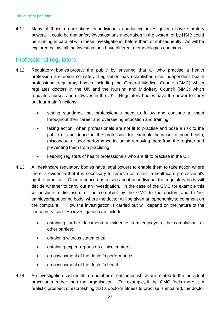4.11. Many of those organisations or individuals conducting investigations have statutory powers. It could be that safety investigations undertaken in the system or by HSIB could be running in parallel with these investigations, before them or subsequently. As will be explored below, all the investigations have different methodologies and aims.

# Professional regulators

- 4.12. Regulatory bodies protect the public by ensuring that all who practise a health profession are doing so safely. Legislation has established nine independent health professional regulatory bodies including the General Medical Council (GMC) which regulates doctors in the UK and the Nursing and Midwifery Council (NMC) which regulates nurses and midwives in the UK. Regulatory bodies have the power to carry out four main functions:
	- setting standards that professionals need to follow and continue to meet throughout their career and overseeing education and training;
	- taking action when professionals are not fit to practise and pose a risk to the public or confidence in the profession for example because of poor health, misconduct or poor performance including removing them from the register and preventing them from practising;
	- keeping registers of health professionals who are fit to practise in the UK.
- 4.13. All healthcare regulatory bodies have legal powers to enable them to take action where there is evidence that it is necessary to remove or restrict a healthcare professional's right to practise. Once a concern is raised about an individual the regulatory body will decide whether to carry out an investigation. In the case of the GMC for example this will include a disclosure of the complaint by the GMC to the doctors and his/her employer/sponsoring body, where the doctor will be given an opportunity to comment on the complaint. How the investigation is carried out will depend on the nature of the concerns raised. An investigation can include:
	- obtaining further documentary evidence from employers, the complainant or other parties;
	- obtaining witness statements:
	- obtaining expert reports on clinical matters;
	- an assessment of the doctor's performance;
	- an assessment of the doctor's health.
- 4.14. An investigation can result in a number of outcomes which are related to the individual practitioner rather than the organisation. For example, if the GMC feels there is a realistic prospect of establishing that a doctor's fitness to practise is impaired, the doctor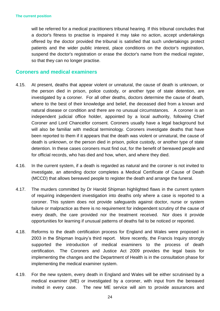will be referred for a medical practitioners tribunal hearing. If this tribunal concludes that a doctor's fitness to practise is impaired it may take no action, accept undertakings offered by the doctor provided the tribunal is satisfied that such undertakings protect patients and the wider public interest, place conditions on the doctor's registration, suspend the doctor's registration or erase the doctor's name from the medical register, so that they can no longer practise.

#### **Coroners and medical examiners**

- 4.15. At present, deaths that appear violent or unnatural, the cause of death is unknown, or the person died in prison, police custody, or another type of state detention, are investigated by a coroner. For all other deaths, doctors determine the cause of death, where to the best of their knowledge and belief, the deceased died from a known and natural disease or condition and there are no unusual circumstances. A coroner is an independent judicial office holder, appointed by a local authority, following Chief Coroner and Lord Chancellor consent. Coroners usually have a legal background but will also be familiar with medical terminology. Coroners investigate deaths that have been reported to them if it appears that the death was violent or unnatural, the cause of death is unknown, or the person died in prison, police custody, or another type of state detention. In these cases coroners must find out, for the benefit of bereaved people and for official records, who has died and how, when, and where they died.
- 4.16. In the current system, if a death is regarded as natural and the coroner is not invited to investigate, an attending doctor completes a Medical Certificate of Cause of Death (MCCD) that allows bereaved people to register the death and arrange the funeral.
- 4.17. The murders committed by Dr Harold Shipman highlighted flaws in the current system of requiring independent investigation into deaths only where a case is reported to a coroner. This system does not provide safeguards against doctor, nurse or system failure or malpractice as there is no requirement for independent scrutiny of the cause of every death, the care provided nor the treatment received. Nor does it provide opportunities for learning if unusual patterns of deaths fail to be noticed or reported.
- 4.18. Reforms to the death certification process for England and Wales were proposed in 2003 in the Shipman Inquiry's third report. More recently, the Francis Inquiry strongly supported the introduction of medical examiners to the process of death certification. The Coroners and Justice Act 2009 provides the legal basis for implementing the changes and the Department of Health is in the consultation phase for implementing the medical examiner system.
- 4.19. For the new system, every death in England and Wales will be either scrutinised by a medical examiner (ME) or investigated by a coroner, with input from the bereaved invited in every case. The new ME service will aim to provide assurances and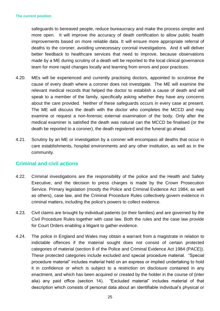safeguards to bereaved people, reduce bureaucracy and make the process simpler and more open. It will improve the accuracy of death certification to allow public health improvements based on more reliable data. It will ensure more appropriate referral of deaths to the coroner, avoiding unnecessary coronial investigations. And it will deliver better feedback to healthcare services that need to improve, because observations made by a ME during scrutiny of a death will be reported to the local clinical governance team for more rapid changes locally and learning from errors and poor practices.

- 4.20. MEs will be experienced and currently practising doctors, appointed to scrutinise the cause of every death where a coroner does not investigate. The ME will examine the relevant medical records that helped the doctor to establish a cause of death and will speak to a member of the family, specifically asking whether they have any concerns about the care provided. Neither of these safeguards occurs in every case at present. The ME will discuss the death with the doctor who completes the MCCD and may examine or request a non-forensic external examination of the body. Only after the medical examiner is satisfied the death was natural can the MCCD be finalised (or the death be reported to a coroner), the death registered and the funeral go ahead.
- 4.21. Scrutiny by an ME or investigation by a coroner will encompass all deaths that occur in care establishments, hospital environments and any other institution, as well as in the community.

### **Criminal and civil actions**

- 4.22. Criminal investigations are the responsibility of the police and the Health and Safety Executive, and the decision to press charges is made by the Crown Prosecution Service. Primary legislation (mostly the Police and Criminal Evidence Act 1984, as well as others), case law, and the Criminal Procedure Rules collectively govern evidence in criminal matters, including the police's powers to collect evidence.
- 4.23. Civil claims are brought by individual patients (or their families) and are governed by the Civil Procedure Rules together with case law. Both the rules and the case law provide for Court Orders enabling a litigant to gather evidence.
- 4.24. The police in England and Wales may obtain a warrant from a magistrate in relation to indictable offences if the material sought does not consist of certain protected categories of material (section 8 of the Police and Criminal Evidence Act 1984 (PACE)). These protected categories include excluded and special procedure material. "Special procedure material" includes material held on an express or implied undertaking to hold it in confidence or which is subject to a restriction on disclosure contained in any enactment, and which has been acquired or created by the holder in the course of (inter alia) any paid office (section 14). "Excluded material" includes material of that description which consists of personal data about an identifiable individual's physical or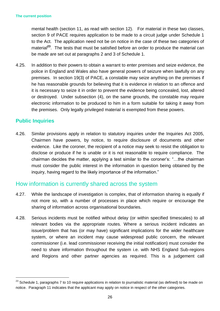#### **The current position**

mental health (section 11, as read with section 12). For material in these two classes, section 9 of PACE requires application to be made to a circuit judge under Schedule 1 to the Act. The application need not be on notice in the case of these two categories of material**<sup>23</sup>**. The tests that must be satisfied before an order to produce the material can be made are set out at paragraphs 2 and 3 of Schedule 1.

4.25. In addition to their powers to obtain a warrant to enter premises and seize evidence, the police in England and Wales also have general powers of seizure when lawfully on any premises. In section 19(3) of PACE, a constable may seize anything on the premises if he has reasonable grounds for believing that it is evidence in relation to an offence and it is necessary to seize it in order to prevent the evidence being concealed, lost, altered or destroyed. Under subsection (4), on the same grounds, the constable may require electronic information to be produced to him in a form suitable for taking it away from the premises. Only legally privileged material is exempted from these powers.

### **Public Inquiries**

 $\overline{a}$ 

4.26. Similar provisions apply in relation to statutory inquiries under the Inquiries Act 2005, Chairmen have powers, by notice, to require disclosure of documents and other evidence. Like the coroner, the recipient of a notice may seek to resist the obligation to disclose or produce if he is unable or it is not reasonable to require compliance. The chairman decides the matter, applying a test similar to the coroner's: "…the chairman must consider the public interest in the information in question being obtained by the inquiry, having regard to the likely importance of the information."

### How information is currently shared across the system

- 4.27. While the landscape of investigation is complex, that of information sharing is equally if not more so, with a number of processes in place which require or encourage the sharing of information across organisational boundaries.
- 4.28. Serious incidents must be notified without delay (or within specified timescales) to all relevant bodies via the appropriate routes. Where a serious incident indicates an issue/problem that has (or may have) significant implications for the wider healthcare system, or where an incident may cause widespread public concern, the relevant commissioner (i.e. lead commissioner receiving the initial notification) must consider the need to share information throughout the system i.e. with NHS England Sub-regions and Regions and other partner agencies as required. This is a judgement call

<sup>&</sup>lt;sup>23</sup> Schedule 1, paragraphs 7 to 10 require applications in relation to journalistic material (as defined) to be made on notice. Paragraph 11 indicates that the applicant may apply on notice in respect of the other categories.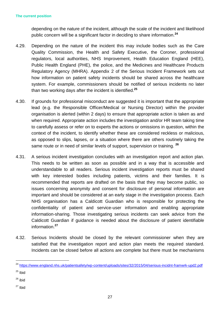depending on the nature of the incident, although the scale of the incident and likelihood public concern will be a significant factor in deciding to share information.**<sup>24</sup>**

- 4.29. Depending on the nature of the incident this may include bodies such as the Care Quality Commission, the Health and Safety Executive, the Coroner, professional regulators, local authorities, NHS Improvement, Health Education England (HEE), Public Health England (PHE), the police, and the Medicines and Healthcare Products Regulatory Agency (MHRA). Appendix 2 of the Serious Incident Framework sets out how information on patient safety incidents should be shared across the healthcare system. For example, commissioners should be notified of serious incidents no later than two working days after the incident is identified.**<sup>25</sup>**
- 4.30. If grounds for professional misconduct are suggested it is important that the appropriate lead (e.g. the Responsible Officer/Medical or Nursing Director) within the provider organisation is alerted (within 2 days) to ensure that appropriate action is taken as and when required. Appropriate action includes the investigation and/or HR team taking time to carefully assess or refer on to experts the actions or omissions in question, within the context of the incident, to identify whether these are considered reckless or malicious, as opposed to slips, lapses, or a situation where there are others routinely taking the same route or in need of similar levels of support, supervision or training. **<sup>26</sup>**
- 4.31. A serious incident investigation concludes with an investigation report and action plan. This needs to be written as soon as possible and in a way that is accessible and understandable to all readers. Serious incident investigation reports must be shared with key interested bodies including patients, victims and their families. It is recommended that reports are drafted on the basis that they may become public, so issues concerning anonymity and consent for disclosure of personal information are important and should be considered at an early stage in the investigation process. Each NHS organisation has a Caldicott Guardian who is responsible for protecting the confidentiality of patient and service-user information and enabling appropriate information-sharing. Those investigating serious incidents can seek advice from the Caldicott Guardian if guidance is needed about the disclosure of patient identifiable information.**<sup>27</sup>**
- 4.32. Serious Incidents should be closed by the relevant commissioner when they are satisfied that the investigation report and action plan meets the required standard. Incidents can be closed before all actions are complete but there must be mechanisms

 $\overline{a}$ 

- $26$  ibid
- $27$  Ibid

<sup>&</sup>lt;sup>24</sup> <https://www.england.nhs.uk/patientsafety/wp-content/uploads/sites/32/2015/04/serious-incidnt-framwrk-upd2.pdf>  $25$  Ibid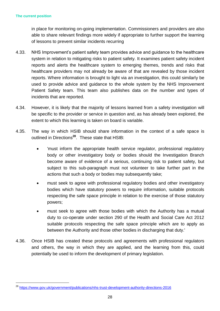$\overline{a}$ 

in place for monitoring on-going implementation. Commissioners and providers are also able to share relevant findings more widely if appropriate to further support the learning of lessons to prevent similar incidents recurring

- 4.33. NHS Improvement's patient safety team provides advice and guidance to the healthcare system in relation to mitigating risks to patient safety. It examines patient safety incident reports and alerts the healthcare system to emerging themes, trends and risks that healthcare providers may not already be aware of that are revealed by those incident reports. Where information is brought to light via an investigation, this could similarly be used to provide advice and guidance to the whole system by the NHS Improvement Patient Safety team. This team also publishes data on the number and types of incidents that are reported.
- 4.34. However, it is likely that the majority of lessons learned from a safety investigation will be specific to the provider or service in question and, as has already been explored, the extent to which this learning is taken on board is variable.
- 4.35. The way in which HSIB should share information in the context of a safe space is outlined in Directions**<sup>28</sup>**. These state that HSIB:
	- 'must inform the appropriate health service regulator, professional regulatory body or other investigatory body or bodies should the Investigation Branch become aware of evidence of a serious, continuing risk to patient safety, but subject to this sub-paragraph must not volunteer to take further part in the actions that such a body or bodies may subsequently take;
	- must seek to agree with professional regulatory bodies and other investigatory bodies which have statutory powers to require information, suitable protocols respecting the safe space principle in relation to the exercise of those statutory powers;
	- must seek to agree with those bodies with which the Authority has a mutual duty to co-operate under section 290 of the Health and Social Care Act 2012 suitable protocols respecting the safe space principle which are to apply as between the Authority and those other bodies in discharging that duty.'
- 4.36. Once HSIB has created these protocols and agreements with professional regulators and others, the way in which they are applied, and the learning from this, could potentially be used to inform the development of primary legislation.

<sup>28</sup> <https://www.gov.uk/government/publications/nhs-trust-development-authority-directions-2016>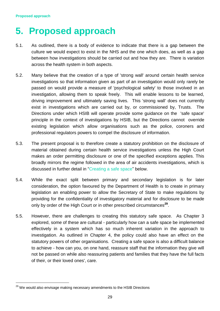# <span id="page-28-0"></span>**5. Proposed approach**

- 5.1. As outlined, there is a body of evidence to indicate that there is a gap between the culture we would expect to exist in the NHS and the one which does, as well as a gap between how investigations should be carried out and how they are. There is variation across the health system in both aspects.
- 5.2. Many believe that the creation of a type of 'strong wall' around certain health service investigations so that information given as part of an investigation would only rarely be passed on would provide a measure of 'psychological safety' to those involved in an investigation, allowing them to speak freely. This will enable lessons to be learned, driving improvement and ultimately saving lives. This 'strong wall' does not currently exist in investigations which are carried out by, or commissioned by, Trusts. The Directions under which HSIB will operate provide some guidance on the 'safe space' principle in the context of investigations by HSIB, but the Directions cannot override existing legislation which allow organisations such as the police, coroners and professional regulators powers to compel the disclosure of information.
- 5.3. The present proposal is to therefore create a statutory prohibition on the disclosure of material obtained during certain health service investigations unless the High Court makes an order permitting disclosure or one of the specified exceptions applies. This broadly mirrors the regime followed in the area of air accidents investigations, which is discussed in further detail in "Creating a safe space" below.
- 5.4. While the exact split between primary and secondary legislation is for later consideration, the option favoured by the Department of Health is to create in primary legislation an enabling power to allow the Secretary of State to make regulations by providing for the confidentiality of investigatory material and for disclosure to be made only by order of the High Court or in other prescribed circumstances**<sup>29</sup>** .
- 5.5. However, there are challenges to creating this statutory safe space. As Chapter 3 explored, some of these are cultural - particularly how can a safe space be implemented effectively in a system which has so much inherent variation in the approach to investigation. As outlined in Chapter 4, the policy could also have an effect on the statutory powers of other organisations. Creating a safe space is also a difficult balance to achieve - how can you, on one hand, reassure staff that the information they give will not be passed on while also reassuring patients and families that they have the full facts of their, or their loved ones', care.

 $\overline{a}$ 

<sup>&</sup>lt;sup>29</sup> We would also envisage making necessary amendments to the HSIB Directions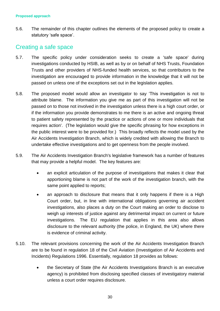5.6. The remainder of this chapter outlines the elements of the proposed policy to create a statutory 'safe space'.

# Creating a safe space

- 5.7. The specific policy under consideration seeks to create a 'safe space' during investigations conducted by HSIB, as well as by or on behalf of NHS Trusts, Foundation Trusts and other providers of NHS-funded health services, so that contributors to the investigation are encouraged to provide information in the knowledge that it will not be passed on unless one of the exceptions set out in the legislation applies.
- 5.8. The proposed model would allow an investigator to say 'This investigation is not to attribute blame. The information you give me as part of this investigation will not be passed on to those not involved in the investigation unless there is a high court order, or if the information you provide demonstrates to me there is an active and ongoing threat to patient safety represented by the practice or actions of one or more individuals that requires action'. (The legislation would give the specific phrasing for how exceptions in the public interest were to be provided for.) This broadly reflects the model used by the Air Accidents Investigation Branch, which is widely credited with allowing the Branch to undertake effective investigations and to get openness from the people involved.
- 5.9. The Air Accidents Investigation Branch's legislative framework has a number of features that may provide a helpful model. The key features are:
	- an explicit articulation of the purpose of investigations that makes it clear that apportioning blame is not part of the work of the investigation branch, with the same point applied to reports;
	- an approach to disclosure that means that it only happens if there is a High Court order, but, in line with international obligations governing air accident investigations, also places a duty on the Court making an order to disclose to weigh up interests of justice against any detrimental impact on current or future investigations. The EU regulation that applies in this area also allows disclosure to the relevant authority (the police, in England, the UK) where there is evidence of criminal activity.
- 5.10. The relevant provisions concerning the work of the Air Accidents Investigation Branch are to be found in regulation 18 of the Civil Aviation (Investigation of Air Accidents and Incidents) Regulations 1996. Essentially, regulation 18 provides as follows:
	- the Secretary of State (the Air Accidents Investigations Branch is an executive agency) is prohibited from disclosing specified classes of investigatory material unless a court order requires disclosure.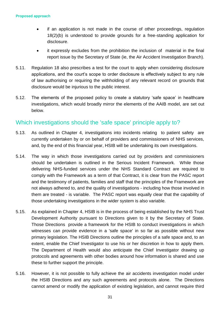- if an application is not made in the course of other proceedings, regulation 18(2)(b) is understood to provide grounds for a free-standing application for disclosure.
- it expressly excludes from the prohibition the inclusion of material in the final report issue by the Secretary of State (ie, the Air Accident Investigation Branch).
- 5.11. Regulation 18 also prescribes a test for the court to apply when considering disclosure applications, and the court's scope to order disclosure is effectively subject to any rule of law authorising or requiring the withholding of any relevant record on grounds that disclosure would be injurious to the public interest.
- 5.12. The elements of the proposed policy to create a statutory 'safe space' in healthcare investigations, which would broadly mirror the elements of the AAIB model, are set out below.

## Which investigations should the 'safe space' principle apply to?

- 5.13. As outlined in Chapter 4, investigations into incidents relating to patient safety are currently undertaken by or on behalf of providers and commissioners of NHS services, and, by the end of this financial year, HSIB will be undertaking its own investigations.
- 5.14. The way in which those investigations carried out by providers and commissioners should be undertaken is outlined in the Serious Incident Framework. While those delivering NHS-funded services under the NHS Standard Contract are required to comply with the Framework as a term of that Contract, it is clear from the PASC report and the testimony of patients, families and staff that the principles of the Framework are not always adhered to, and the quality of investigations - including how those involved in them are treated - is variable. The PASC report was equally clear that the capability of those undertaking investigations in the wider system is also variable.
- 5.15. As explained in Chapter 4, HSIB is in the process of being established by the NHS Trust Development Authority pursuant to Directions given to it by the Secretary of State. Those Directions provide a framework for the HSIB to conduct investigations in which witnesses can provide evidence in a 'safe space' in so far as possible without new primary legislation. The HSIB Directions outline the principles of a safe space and, to an extent, enable the Chief Investigator to use his or her discretion in how to apply them. The Department of Health would also anticipate the Chief Investigator drawing up protocols and agreements with other bodies around how information is shared and use these to further support the principle.
- 5.16. However, it is not possible to fully achieve the air accidents investigation model under the HSIB Directions and any such agreements and protocols alone. The Directions cannot amend or modify the application of existing legislation, and cannot require third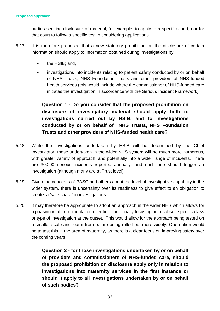parties seeking disclosure of material, for example, to apply to a specific court, nor for that court to follow a specific test in considering applications.

- 5.17. It is therefore proposed that a new statutory prohibition on the disclosure of certain information should apply to information obtained during investigations by :
	- the HSIB; and,
	- investigations into incidents relating to patient safety conducted by or on behalf of NHS Trusts, NHS Foundation Trusts and other providers of NHS-funded health services (this would include where the commissioner of NHS-funded care initiates the investigation in accordance with the Serious Incident Framework).

**Question 1 - Do you consider that the proposed prohibition on disclosure of investigatory material should apply both to investigations carried out by HSIB, and to investigations conducted by or on behalf of NHS Trusts, NHS Foundation Trusts and other providers of NHS-funded health care?**

- 5.18. While the investigations undertaken by HSIB will be determined by the Chief Investigator, those undertaken in the wider NHS system will be much more numerous, with greater variety of approach, and potentially into a wider range of incidents. There are 30,000 serious incidents reported annually, and each one should trigger an investigation (although many are at Trust level).
- 5.19. Given the concerns of PASC and others about the level of investigative capability in the wider system, there is uncertainty over its readiness to give effect to an obligation to create a 'safe space' in investigations.
- 5.20. It may therefore be appropriate to adopt an approach in the wider NHS which allows for a phasing in of implementation over time, potentially focusing on a subset, specific class or type of investigation at the outset. This would allow for the approach being tested on a smaller scale and learnt from before being rolled out more widely. One option would be to test this in the area of maternity, as there is a clear focus on improving safety over the coming years.

**Question 2 - for those investigations undertaken by or on behalf of providers and commissioners of NHS-funded care, should the proposed prohibition on disclosure apply only in relation to investigations into maternity services in the first instance or should it apply to all investigations undertaken by or on behalf of such bodies?**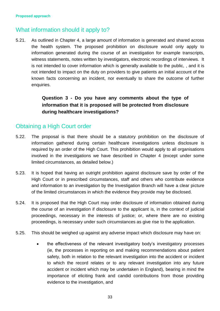# What information should it apply to?

5.21. As outlined in Chapter 4, a large amount of information is generated and shared across the health system. The proposed prohibition on disclosure would only apply to information generated during the course of an investigation for example transcripts, witness statements, notes written by investigators, electronic recordings of interviews. It is not intended to cover information which is generally available to the public, , and it is not intended to impact on the duty on providers to give patients an initial account of the known facts concerning an incident, nor eventually to share the outcome of further enquiries.

### **Question 3 - Do you have any comments about the type of information that it is proposed will be protected from disclosure during healthcare investigations?**

# Obtaining a High Court order

- 5.22. The proposal is that there should be a statutory prohibition on the disclosure of information gathered during certain healthcare investigations unless disclosure is required by an order of the High Court. This prohibition would apply to all organisations involved in the investigations we have described in Chapter 4 (except under some limited circumstances, as detailed below.)
- 5.23. It is hoped that having an outright prohibition against disclosure save by order of the High Court or in prescribed circumstances, staff and others who contribute evidence and information to an investigation by the Investigation Branch will have a clear picture of the limited circumstances in which the evidence they provide may be disclosed.
- 5.24. It is proposed that the High Court may order disclosure of information obtained during the course of an investigation if disclosure to the applicant is, in the context of judicial proceedings, necessary in the interests of justice; or, where there are no existing proceedings, is necessary under such circumstances as give rise to the application.
- 5.25. This should be weighed up against any adverse impact which disclosure may have on:
	- the effectiveness of the relevant investigatory body's investigatory processes (ie, the processes in reporting on and making recommendations about patient safety, both in relation to the relevant investigation into the accident or incident to which the record relates or to any relevant investigation into any future accident or incident which may be undertaken in England), bearing in mind the importance of eliciting frank and candid contributions from those providing evidence to the investigation, and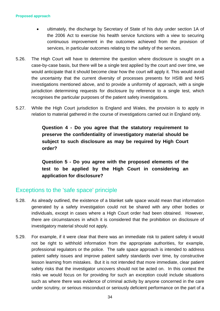- ultimately, the discharge by Secretary of State of his duty under section 1A of the 2006 Act to exercise his health service functions with a view to securing continuous improvement in the outcomes achieved from the provision of services, in particular outcomes relating to the safety of the services.
- 5.26. The High Court will have to determine the question where disclosure is sought on a case-by-case basis, but there will be a single test applied by the court and over time, we would anticipate that it should become clear how the court will apply it. This would avoid the uncertainty that the current diversity of processes presents for HSIB and NHS investigations mentioned above, and to provide a uniformity of approach, with a single jurisdiction determining requests for disclosure by reference to a single test, which recognises the particular purposes of the patient safety investigations.
- 5.27. While the High Court jurisdiction is England and Wales, the provision is to apply in relation to material gathered in the course of investigations carried out in England only.

**Question 4 - Do you agree that the statutory requirement to preserve the confidentiality of investigatory material should be subject to such disclosure as may be required by High Court order?**

**Question 5 - Do you agree with the proposed elements of the test to be applied by the High Court in considering an application for disclosure?** 

# Exceptions to the 'safe space' principle

- 5.28. As already outlined, the existence of a blanket safe space would mean that information generated by a safety investigation could not be shared with any other bodies or individuals, except in cases where a High Court order had been obtained. However, there are circumstances in which it is considered that the prohibition on disclosure of investigatory material should not apply.
- 5.29. For example, if it were clear that there was an immediate risk to patient safety it would not be right to withhold information from the appropriate authorities, for example, professional regulators or the police. The safe space approach is intended to address patient safety issues and improve patient safety standards over time, by constructive lesson learning from mistakes. But it is not intended that more immediate, clear patient safety risks that the investigator uncovers should not be acted on. In this context the risks we would focus on for providing for such an exception could include situations such as where there was evidence of criminal activity by anyone concerned in the care under scrutiny, or serious misconduct or seriously deficient performance on the part of a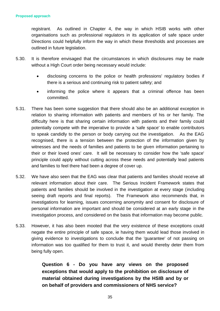registrant. As outlined in Chapter 4, the way in which HSIB works with other organisations such as professional regulators in its application of safe space under Directions could helpfully inform the way in which these thresholds and processes are outlined in future legislation.

- 5.30. It is therefore envisaged that the circumstances in which disclosures may be made without a High Court order being necessary would include:
	- disclosing concerns to the police or health professions' regulatory bodies if there is a serious and continuing risk to patient safety; and
	- informing the police where it appears that a criminal offence has been committed.
- 5.31. There has been some suggestion that there should also be an additional exception in relation to sharing information with patients and members of his or her family. The difficulty here is that sharing certain information with patients and their family could potentially compete with the imperative to provide a 'safe space' to enable contributors to speak candidly to the person or body carrying out the investigation. As the EAG recognised, there is a tension between the protection of the information given by witnesses and the needs of families and patients to be given information pertaining to their or their loved ones' care. It will be necessary to consider how the 'safe space' principle could apply without cutting across these needs and potentially lead patients and families to feel there had been a degree of cover up.
- 5.32. We have also seen that the EAG was clear that patients and families should receive all relevant information about their care. The Serious Incident Framework states that patients and families should be involved in the investigation at every stage (including seeing draft reports and final reports). The Framework also recommends that, in investigations for learning, issues concerning anonymity and consent for disclosure of personal information are important and should be considered at an early stage in the investigation process, and considered on the basis that information may become public.
- 5.33. However, it has also been mooted that the very existence of these exceptions could negate the entire principle of safe space, ie having them would lead those involved in giving evidence to investigations to conclude that the 'guarantee' of not passing on information was too qualified for them to trust it, and would thereby deter them from being fully open.

**Question 6 - Do you have any views on the proposed exceptions that would apply to the prohibition on disclosure of material obtained during investigations by the HSIB and by or on behalf of providers and commissioners of NHS service?**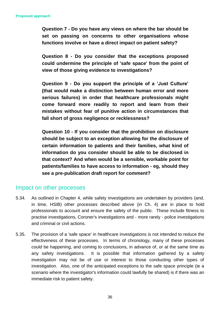**Question 7 - Do you have any views on where the bar should be set on passing on concerns to other organisations whose functions involve or have a direct impact on patient safety?**

**Question 8 - Do you consider that the exceptions proposed could undermine the principle of 'safe space' from the point of view of those giving evidence to investigations?**

**Question 9 - Do you support the principle of a 'Just Culture' (that would make a distinction between human error and more serious failures) in order that healthcare professionals might come forward more readily to report and learn from their mistakes without fear of punitive action in circumstances that fall short of gross negligence or recklessness?**

**Question 10 - If you consider that the prohibition on disclosure should be subject to an exception allowing for the disclosure of certain information to patients and their families, what kind of information do you consider should be able to be disclosed in that context? And when would be a sensible, workable point for patients/families to have access to information - eg, should they see a pre-publication draft report for comment?**

### Impact on other processes

- 5.34. As outlined in Chapter 4, while safety investigations are undertaken by providers (and, in time, HSIB) other processes described above (in Ch. 4) are in place to hold professionals to account and ensure the safety of the public. These include fitness to practise investigations, Coroner's investigations and - more rarely - police investigations and criminal or civil actions.
- 5.35. The provision of a 'safe space' in healthcare investigations is not intended to reduce the effectiveness of these processes. In terms of chronology, many of these processes could be happening, and coming to conclusions, in advance of, or at the same time as any safety investigations. It is possible that information gathered by a safety investigation may not be of use or interest to those conducting other types of investigation. Also, one of the anticipated exceptions to the safe space principle (ie a scenario where the investigator's information could lawfully be shared) is if there was an immediate risk to patient safety.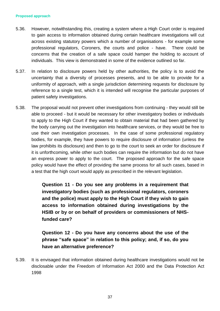#### **Proposed approach**

- 5.36. However, notwithstanding this, creating a system where a High Court order is required to gain access to information obtained during certain healthcare investigations will cut across existing statutory powers which a number of organisations - for example some professional regulators, Coroners, the courts and police - have. There could be concerns that the creation of a safe space could hamper the holding to account of individuals. This view is demonstrated in some of the evidence outlined so far.
- 5.37. In relation to disclosure powers held by other authorities, the policy is to avoid the uncertainty that a diversity of processes presents, and to be able to provide for a uniformity of approach, with a single jurisdiction determining requests for disclosure by reference to a single test, which it is intended will recognise the particular purposes of patient safety investigations.
- 5.38. The proposal would not prevent other investigations from continuing they would still be able to proceed - but it would be necessary for other investigatory bodies or individuals to apply to the High Court if they wanted to obtain material that had been gathered by the body carrying out the investigation into healthcare services, or they would be free to use their own investigation processes. In the case of some professional regulatory bodies, for example, they have powers to require disclosure of information (unless the law prohibits its disclosure) and then to go to the court to seek an order for disclosure if it is unforthcoming, while other such bodies can require the information but do not have an express power to apply to the court. The proposed approach for the safe space policy would have the effect of providing the same process for all such cases, based in a test that the high court would apply as prescribed in the relevant legislation.

**Question 11 - Do you see any problems in a requirement that investigatory bodies (such as professional regulators, coroners and the police) must apply to the High Court if they wish to gain access to information obtained during investigations by the HSIB or by or on behalf of providers or commissioners of NHSfunded care?** 

**Question 12 - Do you have any concerns about the use of the phrase "safe space" in relation to this policy; and, if so, do you have an alternative preference?**

5.39. It is envisaged that information obtained during healthcare investigations would not be disclosable under the Freedom of Information Act 2000 and the Data Protection Act 1998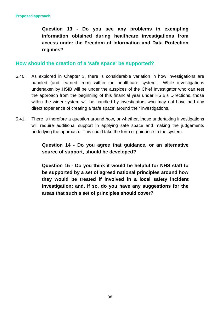**Question 13 - Do you see any problems in exempting information obtained during healthcare investigations from access under the Freedom of Information and Data Protection regimes?**

#### **How should the creation of a 'safe space' be supported?**

- 5.40. As explored in Chapter 3, there is considerable variation in how investigations are handled (and learned from) within the healthcare system. While investigations undertaken by HSIB will be under the auspices of the Chief Investigator who can test the approach from the beginning of this financial year under HSIB's Directions, those within the wider system will be handled by investigators who may not have had any direct experience of creating a 'safe space' around their investigations.
- 5.41. There is therefore a question around how, or whether, those undertaking investigations will require additional support in applying safe space and making the judgements underlying the approach. This could take the form of guidance to the system.

### **Question 14 - Do you agree that guidance, or an alternative source of support, should be developed?**

**Question 15 - Do you think it would be helpful for NHS staff to be supported by a set of agreed national principles around how they would be treated if involved in a local safety incident investigation; and, if so, do you have any suggestions for the areas that such a set of principles should cover?**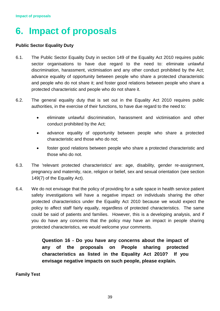# <span id="page-38-0"></span>**6. Impact of proposals**

#### **Public Sector Equality Duty**

- 6.1. The Public Sector Equality Duty in section 149 of the Equality Act 2010 requires public sector organisations to have due regard to the need to: eliminate unlawful discrimination, harassment, victimisation and any other conduct prohibited by the Act; advance equality of opportunity between people who share a protected characteristic and people who do not share it; and foster good relations between people who share a protected characteristic and people who do not share it.
- 6.2. The general equality duty that is set out in the Equality Act 2010 requires public authorities, in the exercise of their functions, to have due regard to the need to:
	- eliminate unlawful discrimination, harassment and victimisation and other conduct prohibited by the Act;
	- advance equality of opportunity between people who share a protected characteristic and those who do not;
	- foster good relations between people who share a protected characteristic and those who do not.
- 6.3. The 'relevant protected characteristics' are: age, disability, gender re-assignment, pregnancy and maternity, race, religion or belief, sex and sexual orientation (see section 149(7) of the Equality Act).
- 6.4. We do not envisage that the policy of providing for a safe space in health service patient safety investigations will have a negative impact on individuals sharing the other protected characteristics under the Equality Act 2010 because we would expect the policy to affect staff fairly equally, regardless of protected characteristics. The same could be said of patients and families. However, this is a developing analysis, and if you do have any concerns that the policy may have an impact in people sharing protected characteristics, we would welcome your comments.

**Question 16 - Do you have any concerns about the impact of any of the proposals on People sharing protected characteristics as listed in the Equality Act 2010? If you envisage negative impacts on such people, please explain.** 

#### **Family Test**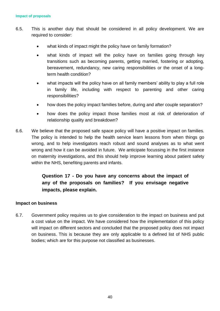- 6.5. This is another duty that should be considered in all policy development. We are required to consider:
	- what kinds of impact might the policy have on family formation?
	- what kinds of impact will the policy have on families going through key transitions such as becoming parents, getting married, fostering or adopting, bereavement, redundancy, new caring responsibilities or the onset of a longterm health condition?
	- what impacts will the policy have on all family members' ability to play a full role in family life, including with respect to parenting and other caring responsibilities?
	- how does the policy impact families before, during and after couple separation?
	- how does the policy impact those families most at risk of deterioration of relationship quality and breakdown?
- 6.6. We believe that the proposed safe space policy will have a positive impact on families. The policy is intended to help the health service learn lessons from when things go wrong, and to help investigators reach robust and sound analyses as to what went wrong and how it can be avoided in future. We anticipate focussing in the first instance on maternity investigations, and this should help improve learning about patient safety within the NHS, benefiting parents and infants.

## **Question 17 - Do you have any concerns about the impact of any of the proposals on families? If you envisage negative impacts, please explain.**

#### **Impact on business**

6.7. Government policy requires us to give consideration to the impact on business and put a cost value on the impact. We have considered how the implementation of this policy will impact on different sectors and concluded that the proposed policy does not impact on business. This is because they are only applicable to a defined list of NHS public bodies; which are for this purpose not classified as businesses.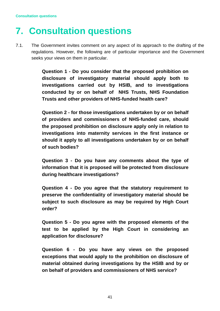# <span id="page-40-0"></span>**7. Consultation questions**

7.1. The Government invites comment on any aspect of its approach to the drafting of the regulations. However, the following are of particular importance and the Government seeks your views on them in particular.

> **Question 1 - Do you consider that the proposed prohibition on disclosure of investigatory material should apply both to investigations carried out by HSIB, and to investigations conducted by or on behalf of NHS Trusts, NHS Foundation Trusts and other providers of NHS-funded health care?**

> **Question 2 - for those investigations undertaken by or on behalf of providers and commissioners of NHS-funded care, should the proposed prohibition on disclosure apply only in relation to investigations into maternity services in the first instance or should it apply to all investigations undertaken by or on behalf of such bodies?**

> **Question 3 - Do you have any comments about the type of information that it is proposed will be protected from disclosure during healthcare investigations?**

> **Question 4 - Do you agree that the statutory requirement to preserve the confidentiality of investigatory material should be subject to such disclosure as may be required by High Court order?**

> **Question 5 - Do you agree with the proposed elements of the test to be applied by the High Court in considering an application for disclosure?**

> **Question 6 - Do you have any views on the proposed exceptions that would apply to the prohibition on disclosure of material obtained during investigations by the HSIB and by or on behalf of providers and commissioners of NHS service?**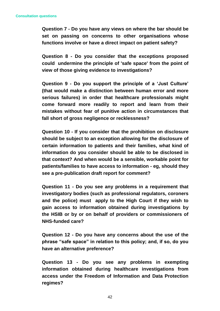**Question 7 - Do you have any views on where the bar should be set on passing on concerns to other organisations whose functions involve or have a direct impact on patient safety?**

**Question 8 - Do you consider that the exceptions proposed could undermine the principle of 'safe space' from the point of view of those giving evidence to investigations?**

**Question 9 - Do you support the principle of a 'Just Culture' (that would make a distinction between human error and more serious failures) in order that healthcare professionals might come forward more readily to report and learn from their mistakes without fear of punitive action in circumstances that fall short of gross negligence or recklessness?**

**Question 10 - If you consider that the prohibition on disclosure should be subject to an exception allowing for the disclosure of certain information to patients and their families, what kind of information do you consider should be able to be disclosed in that context? And when would be a sensible, workable point for patients/families to have access to information - eg, should they see a pre-publication draft report for comment?**

**Question 11 - Do you see any problems in a requirement that investigatory bodies (such as professional regulators, coroners and the police) must apply to the High Court if they wish to gain access to information obtained during investigations by the HSIB or by or on behalf of providers or commissioners of NHS-funded care?** 

**Question 12 - Do you have any concerns about the use of the phrase "safe space" in relation to this policy; and, if so, do you have an alternative preference?**

**Question 13 - Do you see any problems in exempting information obtained during healthcare investigations from access under the Freedom of Information and Data Protection regimes?**